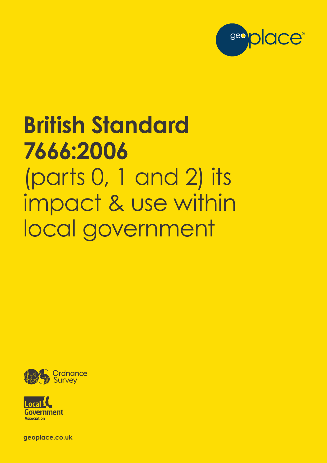

# **British Standard 7666:2006** (parts 0, 1 and 2) its impact & use within local government





**geoplace.co.uk**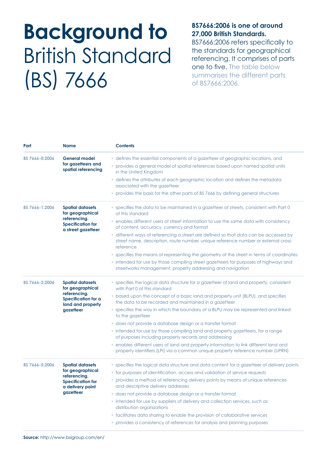## **Background to** British Standard (BS) 7666

#### **BS7666:2006 is one of around 27,000 British Standards.**

BS7666:2006 refers specifically to the standards for geographical referencing. It comprises of parts one to five. The table below summarises the different parts of BS7666:2006.

| BS 7666-0:2006 | <b>General model</b><br>for gazetteers and<br>spatial referencing | • defines the essential components of a gazetteer of geographic locations, and<br>• provides a general model of spatial references based upon named spatial units<br>in the United Kingdom |
|----------------|-------------------------------------------------------------------|--------------------------------------------------------------------------------------------------------------------------------------------------------------------------------------------|
|                |                                                                   | • defines the attributes of each geographic location and defines the metadata<br>associated with the gazetteer                                                                             |
|                |                                                                   | • provides the basis for the other parts of BS 7666 by defining general structures                                                                                                         |
| BS 7666-1:2006 | <b>Spatial datasets</b><br>for geographical                       | • specifies the data to be maintained in a gazetteer of streets, consistent with Part 0<br>of this standard                                                                                |
|                | referencing.<br><b>Specification for</b><br>a street gazetteer    | • enables different users of street information to use the same data with consistency<br>of content, accuracy, currency and format                                                         |
|                |                                                                   | • different ways of referencing a street are defined so that data can be accessed by<br>street name, description, route number, unique reference number or external cross-<br>reference    |
|                |                                                                   | • specifies the means of representing the geometry of the street in terms of coordinates                                                                                                   |
|                |                                                                   | • intended for use by those compiling street gazetteers for purposes of highways and<br>streetworks management, property addressing and navigation                                         |
| BS 7666-2:2006 | <b>Spatial datasets</b><br>for geographical                       | • specifies the logical data structure for a gazetteer of land and property, consistent<br>with Part 0 of this standard                                                                    |
|                | referencing.<br>Specification for a<br>land and property          | • based upon the concept of a basic land and property unit (BLPU), and specifies<br>the data to be recorded and maintained in a gazetteer                                                  |
|                | gazetteer                                                         | • specifies the way in which the boundary of a BLPU may be represented and linked<br>to the gazetteer                                                                                      |
|                |                                                                   | · does not provide a database design or a transfer format                                                                                                                                  |
|                |                                                                   | • intended for use by those compiling land and property gazetteers, for a range<br>of purposes including property records and addressing                                                   |
|                |                                                                   | • enables different users of land and property information to link different land and<br>property identifiers (LPI) via a common unique property reference number (UPRN)                   |
| BS 7666-5:2006 | <b>Spatial datasets</b>                                           | • specifies the logical data structure and data content for a gazetteer of delivery points                                                                                                 |
|                | for geographical<br>referencing.                                  | • for purposes of identification, access and validation of service requests                                                                                                                |
|                | <b>Specification for</b><br>a delivery point                      | • provides a method of referencing delivery points by means of unique references<br>and descriptive delivery addresses                                                                     |
|                | gazetteer                                                         | · does not provide a database design or a transfer format                                                                                                                                  |
|                |                                                                   | • intended for use by suppliers of delivery and collection services, such as<br>distribution organizations                                                                                 |
|                |                                                                   | • facilitates data sharing to enable the provision of collaborative services                                                                                                               |
|                |                                                                   | • provides a consistency of references for analysis and planning purposes                                                                                                                  |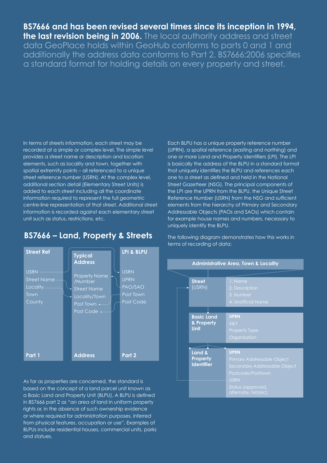### **BS7666 and has been revised several times since its inception in 1994,**

**the last revision being in 2006.** The local authority address and street data GeoPlace holds within GeoHub conforms to parts 0 and 1 and additionally the address data conforms to Part 2. BS7666:2006 specifies a standard format for holding details on every property and street.

#### In terms of streets information, each street may be recorded at a simple or complex level. The simple level provides a street name or description and location elements, such as locality and town, together with spatial extremity points – all referenced to a unique street reference number (USRN). At the complex level, additional section detail (Elementary Street Units) is added to each street including all the coordinate information required to represent the full geometric centre-line representation of that street. Additional street information is recorded against each elementary street unit such as status, restrictions, etc.

**BS7666 – Land, Property & Streets**

Each BLPU has a unique property reference number (UPRN), a spatial reference (easting and northing) and one or more Land and Property Identifiers (LPI). The LPI is basically the address of the BLPU in a standard format that uniquely identifies the BLPU and references each one to a street as defined and held in the National Street Gazetteer (NSG). The principal components of the LPI are the UPRN from the BLPU, the Unique Street Reference Number (USRN) from the NSG and sufficient elements from the hierarchy of Primary and Secondary Addressable Objects (PAOs and SAOs) which contain for example house names and numbers, necessary to uniquely identify the BLPU.

USRN UPRN PAO/SAO Post Town Post Code **LPI & BLPU Part 2** USRN Street Name **Locality** Town **Street Ref Part 1** Property Name /Number Street Name Locality/Town Post Town < Post Code < **Typical Address Address**

As far as properties are concerned, the standard is based on the concept of a land parcel unit known as a Basic Land and Property Unit (BLPU). A BLPU is defined in BS7666 part 2 as "an area of land in uniform property rights or, in the absence of such ownership evidence or where required for administration purposes, inferred from physical features, occupation or use". Examples of BLPUs include residential houses, commercial units, parks and statues.

The following diagram demonstrates how this works in terms of recording of data:

| <b>Administrative Area, Town &amp; Locality</b> |                                                |                                                                                                                                                                   |  |
|-------------------------------------------------|------------------------------------------------|-------------------------------------------------------------------------------------------------------------------------------------------------------------------|--|
|                                                 |                                                |                                                                                                                                                                   |  |
|                                                 | <b>Street</b><br>(USRN)                        | 1. Name<br>2. Description<br>3. Number<br>4. Unofficial Name                                                                                                      |  |
|                                                 | <b>Basic Land</b><br>& Property<br><b>Unit</b> | <b>UPRN</b><br>X&Y<br><b>Property Type</b><br>Organisation                                                                                                        |  |
|                                                 | Land &<br><b>Property</b><br><b>Identifier</b> | <b>UPRN</b><br><b>Primary Addressable Object</b><br>Secondary Addressable Object<br>Postcode/Posttown<br><b>USRN</b><br>Status (approved,<br>alternate, historic) |  |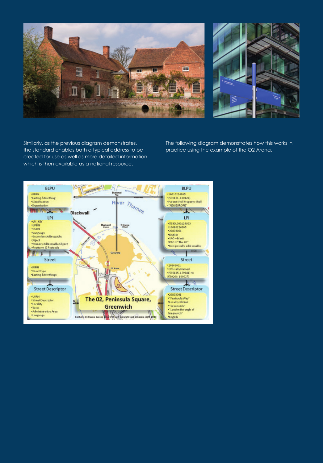



Similarly, as the previous diagram demonstrates, the standard enables both a typical address to be created for use as well as more detailed information which is then available as a national resource.

The following diagram demonstrates how this works in practice using the example of the O2 Arena.

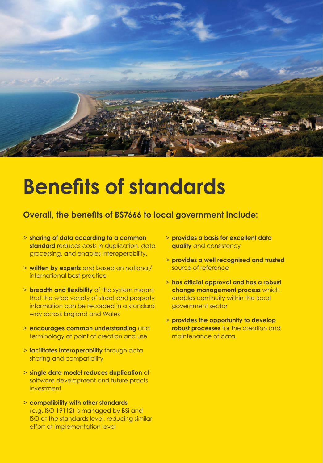

## **Benefits of standards**

### **Overall, the benefits of BS7666 to local government include:**

- > **sharing of data according to a common standard** reduces costs in duplication, data processing, and enables interoperability.
- > **written by experts** and based on national/ international best practice
- > **breadth and flexibility** of the system means that the wide variety of street and property information can be recorded in a standard way across England and Wales
- > **encourages common understanding** and terminology at point of creation and use
- > **facilitates interoperability** through data sharing and compatibility
- > **single data model reduces duplication** of software development and future-proofs investment
- > **compatibility with other standards**  (e.g. ISO 19112) is managed by BSi and ISO at the standards level, reducing similar effort at implementation level
- > **provides a basis for excellent data quality** and consistency
- > **provides a well recognised and trusted** source of reference
- > **has official approval and has a robust change management process** which enables continuity within the local government sector
- > **provides the opportunity to develop robust processes** for the creation and maintenance of data.